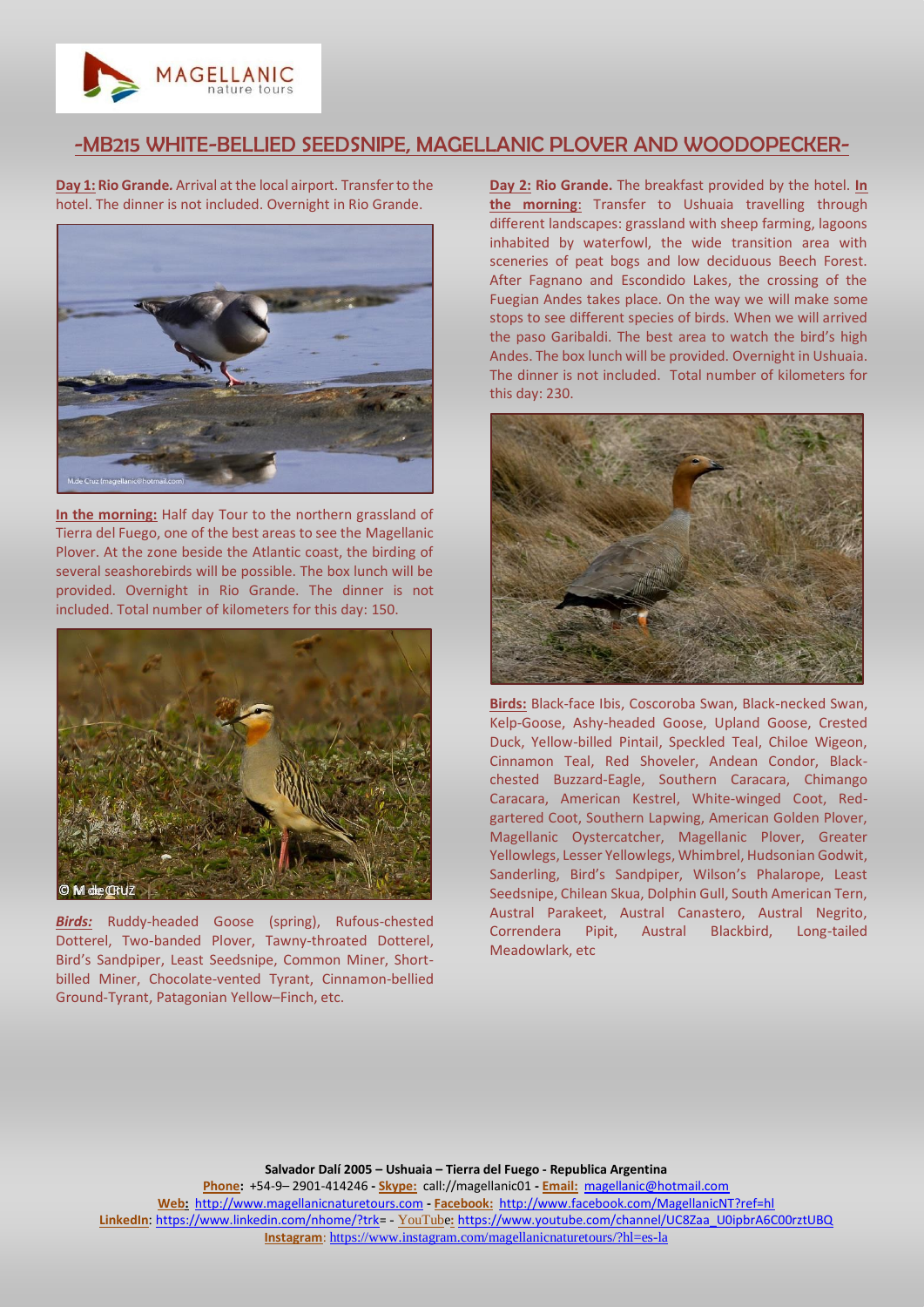

## -MB215 WHITE-BELLIED SEEDSNIPE, MAGELLANIC PLOVER AND WOODOPECKER-

**Day 1: Rio Grande***.* Arrival at the local airport. Transfer to the hotel. The dinner is not included. Overnight in Rio Grande.



**In the morning:** Half day Tour to the northern grassland of Tierra del Fuego, one of the best areas to see the Magellanic Plover. At the zone beside the Atlantic coast, the birding of several seashorebirds will be possible. The box lunch will be provided. Overnight in Rio Grande. The dinner is not included. Total number of kilometers for this day: 150.



*Birds:* Ruddy-headed Goose (spring), Rufous-chested Dotterel, Two-banded Plover, Tawny-throated Dotterel, Bird's Sandpiper, Least Seedsnipe, Common Miner, Shortbilled Miner, Chocolate-vented Tyrant, Cinnamon-bellied Ground-Tyrant, Patagonian Yellow–Finch, etc.

**Day 2: Rio Grande.** The breakfast provided by the hotel. **In the morning**: Transfer to Ushuaia travelling through different landscapes: grassland with sheep farming, lagoons inhabited by waterfowl, the wide transition area with sceneries of peat bogs and low deciduous Beech Forest. After Fagnano and Escondido Lakes, the crossing of the Fuegian Andes takes place. On the way we will make some stops to see different species of birds. When we will arrived the paso Garibaldi. The best area to watch the bird's high Andes. The box lunch will be provided. Overnight in Ushuaia. The dinner is not included. Total number of kilometers for this day: 230.



**Birds:** Black-face Ibis, Coscoroba Swan, Black-necked Swan, Kelp-Goose, Ashy-headed Goose, Upland Goose, Crested Duck, Yellow-billed Pintail, Speckled Teal, Chiloe Wigeon, Cinnamon Teal, Red Shoveler, Andean Condor, Blackchested Buzzard-Eagle, Southern Caracara, Chimango Caracara, American Kestrel, White-winged Coot, Redgartered Coot, Southern Lapwing, American Golden Plover, Magellanic Oystercatcher, Magellanic Plover, Greater Yellowlegs, Lesser Yellowlegs, Whimbrel, Hudsonian Godwit, Sanderling, Bird's Sandpiper, Wilson's Phalarope, Least Seedsnipe, Chilean Skua, Dolphin Gull, South American Tern, Austral Parakeet, Austral Canastero, Austral Negrito, Correndera Pipit, Austral Blackbird, Long-tailed Meadowlark, etc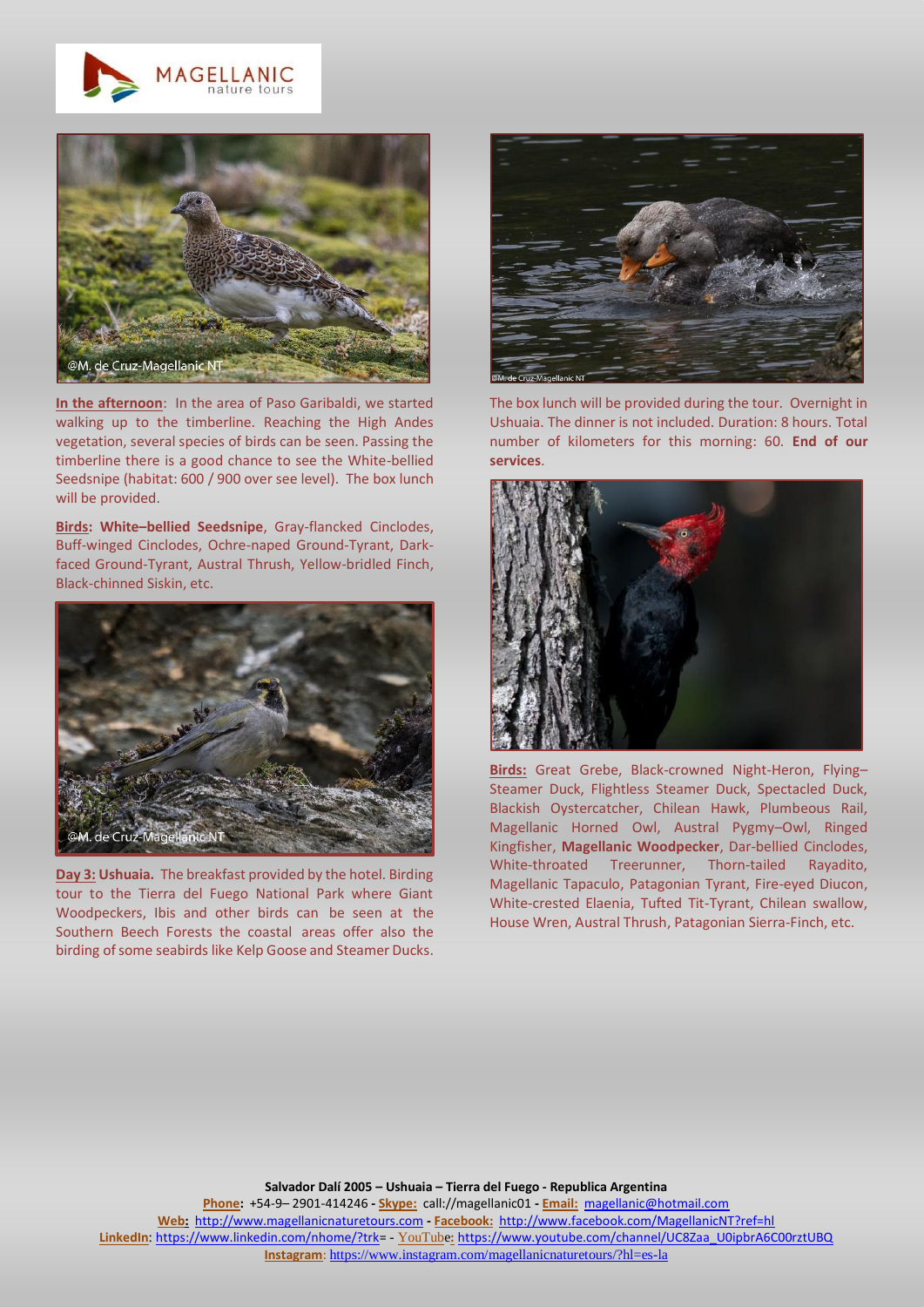



**In the afternoon**: In the area of Paso Garibaldi, we started walking up to the timberline. Reaching the High Andes vegetation, several species of birds can be seen. Passing the timberline there is a good chance to see the White-bellied Seedsnipe (habitat: 600 / 900 over see level). The box lunch will be provided.

**Birds: White–bellied Seedsnipe**, Gray-flancked Cinclodes, Buff-winged Cinclodes, Ochre-naped Ground-Tyrant, Darkfaced Ground-Tyrant, Austral Thrush, Yellow-bridled Finch, Black-chinned Siskin, etc.



**Day 3: Ushuaia***.* The breakfast provided by the hotel. Birding tour to the Tierra del Fuego National Park where Giant Woodpeckers, Ibis and other birds can be seen at the Southern Beech Forests the coastal areas offer also the birding of some seabirds like Kelp Goose and Steamer Ducks.



The box lunch will be provided during the tour. Overnight in Ushuaia. The dinner is not included. Duration: 8 hours. Total number of kilometers for this morning: 60. **End of our services**.



**Birds:** Great Grebe, Black-crowned Night-Heron, Flying– Steamer Duck, Flightless Steamer Duck, Spectacled Duck, Blackish Oystercatcher, Chilean Hawk, Plumbeous Rail, Magellanic Horned Owl, Austral Pygmy–Owl, Ringed Kingfisher, **Magellanic Woodpecker**, Dar-bellied Cinclodes, White-throated Treerunner, Thorn-tailed Rayadito, Magellanic Tapaculo, Patagonian Tyrant, Fire-eyed Diucon, White-crested Elaenia, Tufted Tit-Tyrant, Chilean swallow, House Wren, Austral Thrush, Patagonian Sierra-Finch, etc.